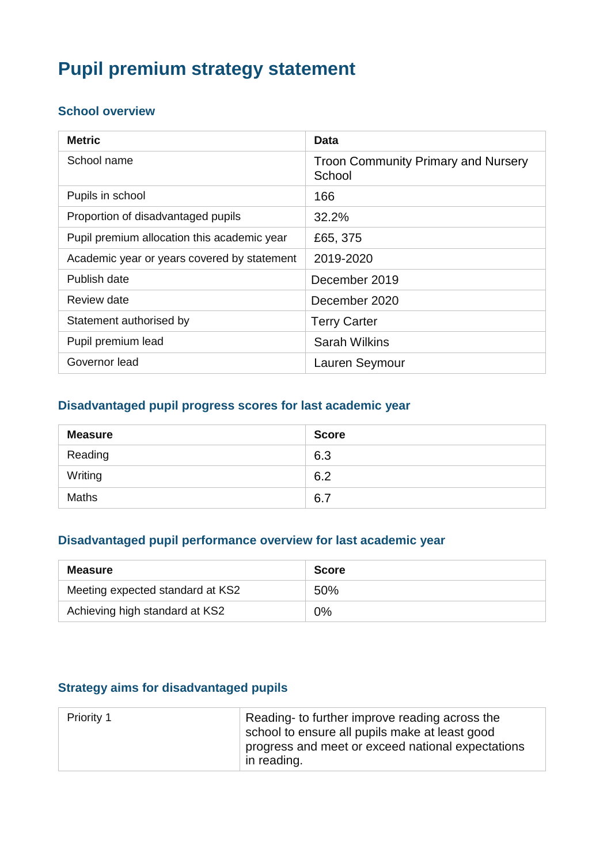# **Pupil premium strategy statement**

#### **School overview**

| <b>Metric</b>                               | <b>Data</b>                                          |
|---------------------------------------------|------------------------------------------------------|
| School name                                 | <b>Troon Community Primary and Nursery</b><br>School |
| Pupils in school                            | 166                                                  |
| Proportion of disadvantaged pupils          | 32.2%                                                |
| Pupil premium allocation this academic year | £65, 375                                             |
| Academic year or years covered by statement | 2019-2020                                            |
| Publish date                                | December 2019                                        |
| Review date                                 | December 2020                                        |
| Statement authorised by                     | <b>Terry Carter</b>                                  |
| Pupil premium lead                          | <b>Sarah Wilkins</b>                                 |
| Governor lead                               | Lauren Seymour                                       |

#### **Disadvantaged pupil progress scores for last academic year**

| <b>Measure</b> | <b>Score</b> |
|----------------|--------------|
| Reading        | 6.3          |
| Writing        | 6.2          |
| <b>Maths</b>   | 6.7          |

#### **Disadvantaged pupil performance overview for last academic year**

| Measure                          | <b>Score</b> |
|----------------------------------|--------------|
| Meeting expected standard at KS2 | 50%          |
| Achieving high standard at KS2   | $0\%$        |

#### **Strategy aims for disadvantaged pupils**

| Priority 1 | Reading- to further improve reading across the    |
|------------|---------------------------------------------------|
|            | school to ensure all pupils make at least good    |
|            | progress and meet or exceed national expectations |
|            | in reading.                                       |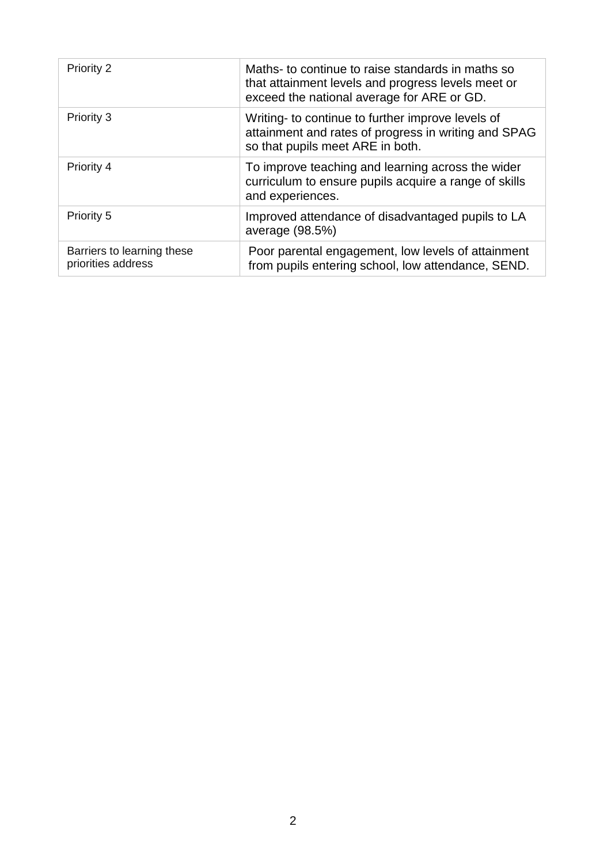| <b>Priority 2</b>                                | Maths- to continue to raise standards in maths so<br>that attainment levels and progress levels meet or<br>exceed the national average for ARE or GD. |
|--------------------------------------------------|-------------------------------------------------------------------------------------------------------------------------------------------------------|
| Priority 3                                       | Writing- to continue to further improve levels of<br>attainment and rates of progress in writing and SPAG<br>so that pupils meet ARE in both.         |
| Priority 4                                       | To improve teaching and learning across the wider<br>curriculum to ensure pupils acquire a range of skills<br>and experiences.                        |
| <b>Priority 5</b>                                | Improved attendance of disadvantaged pupils to LA<br>average (98.5%)                                                                                  |
| Barriers to learning these<br>priorities address | Poor parental engagement, low levels of attainment<br>from pupils entering school, low attendance, SEND.                                              |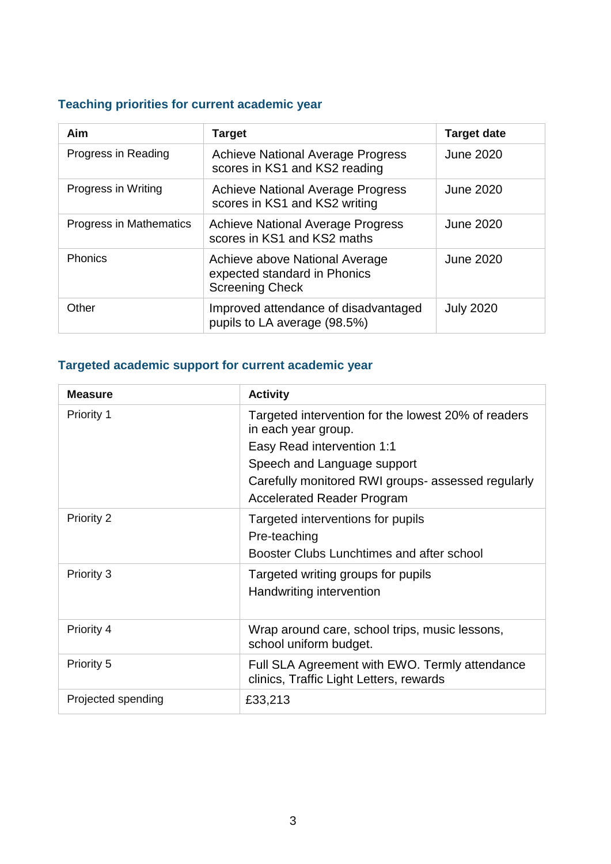## **Teaching priorities for current academic year**

| Aim                            | <b>Target</b>                                                                            | <b>Target date</b> |
|--------------------------------|------------------------------------------------------------------------------------------|--------------------|
| Progress in Reading            | <b>Achieve National Average Progress</b><br>scores in KS1 and KS2 reading                | <b>June 2020</b>   |
| Progress in Writing            | <b>Achieve National Average Progress</b><br>scores in KS1 and KS2 writing                | <b>June 2020</b>   |
| <b>Progress in Mathematics</b> | <b>Achieve National Average Progress</b><br>scores in KS1 and KS2 maths                  | <b>June 2020</b>   |
| <b>Phonics</b>                 | Achieve above National Average<br>expected standard in Phonics<br><b>Screening Check</b> | <b>June 2020</b>   |
| Other                          | Improved attendance of disadvantaged<br>pupils to LA average (98.5%)                     | <b>July 2020</b>   |

## **Targeted academic support for current academic year**

| <b>Measure</b>     | <b>Activity</b>                                                                           |
|--------------------|-------------------------------------------------------------------------------------------|
| <b>Priority 1</b>  | Targeted intervention for the lowest 20% of readers<br>in each year group.                |
|                    | Easy Read intervention 1:1                                                                |
|                    | Speech and Language support                                                               |
|                    | Carefully monitored RWI groups- assessed regularly                                        |
|                    | <b>Accelerated Reader Program</b>                                                         |
| <b>Priority 2</b>  | Targeted interventions for pupils                                                         |
|                    | Pre-teaching                                                                              |
|                    | Booster Clubs Lunchtimes and after school                                                 |
| Priority 3         | Targeted writing groups for pupils                                                        |
|                    | Handwriting intervention                                                                  |
| Priority 4         | Wrap around care, school trips, music lessons,                                            |
|                    | school uniform budget.                                                                    |
| Priority 5         | Full SLA Agreement with EWO. Termly attendance<br>clinics, Traffic Light Letters, rewards |
| Projected spending | £33,213                                                                                   |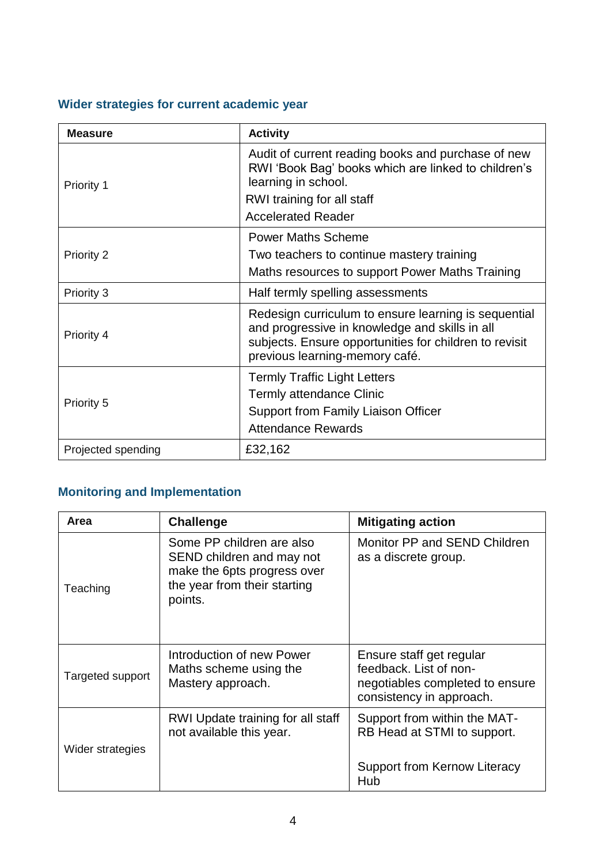## **Wider strategies for current academic year**

| <b>Measure</b>     | <b>Activity</b>                                                                                                                                                                                    |
|--------------------|----------------------------------------------------------------------------------------------------------------------------------------------------------------------------------------------------|
| Priority 1         | Audit of current reading books and purchase of new<br>RWI 'Book Bag' books which are linked to children's<br>learning in school.                                                                   |
|                    | RWI training for all staff                                                                                                                                                                         |
|                    | <b>Accelerated Reader</b>                                                                                                                                                                          |
|                    | <b>Power Maths Scheme</b>                                                                                                                                                                          |
| Priority 2         | Two teachers to continue mastery training                                                                                                                                                          |
|                    | Maths resources to support Power Maths Training                                                                                                                                                    |
| Priority 3         | Half termly spelling assessments                                                                                                                                                                   |
| Priority 4         | Redesign curriculum to ensure learning is sequential<br>and progressive in knowledge and skills in all<br>subjects. Ensure opportunities for children to revisit<br>previous learning-memory café. |
|                    | <b>Termly Traffic Light Letters</b>                                                                                                                                                                |
| Priority 5         | Termly attendance Clinic                                                                                                                                                                           |
|                    | Support from Family Liaison Officer                                                                                                                                                                |
|                    | <b>Attendance Rewards</b>                                                                                                                                                                          |
| Projected spending | £32,162                                                                                                                                                                                            |

## **Monitoring and Implementation**

| Area             | <b>Challenge</b>                                                                                                                 | <b>Mitigating action</b>                                                                                          |
|------------------|----------------------------------------------------------------------------------------------------------------------------------|-------------------------------------------------------------------------------------------------------------------|
| Teaching         | Some PP children are also<br>SEND children and may not<br>make the 6pts progress over<br>the year from their starting<br>points. | Monitor PP and SEND Children<br>as a discrete group.                                                              |
| Targeted support | Introduction of new Power<br>Maths scheme using the<br>Mastery approach.                                                         | Ensure staff get regular<br>feedback. List of non-<br>negotiables completed to ensure<br>consistency in approach. |
| Wider strategies | RWI Update training for all staff<br>not available this year.                                                                    | Support from within the MAT-<br>RB Head at STMI to support.<br><b>Support from Kernow Literacy</b><br>Hub         |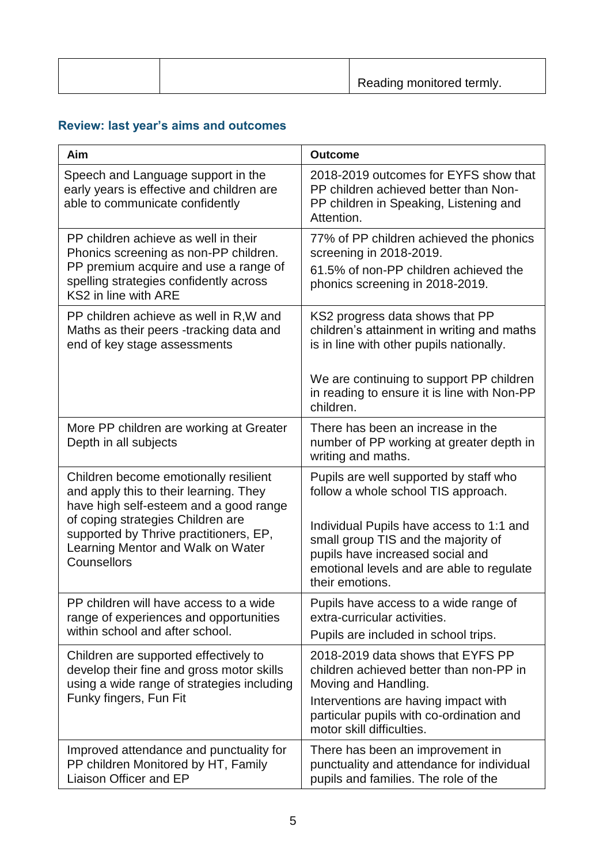|  | Reading monitored termly. |
|--|---------------------------|
|  |                           |

## **Review: last year's aims and outcomes**

| Aim                                                                                                                                                                                                                                                          | <b>Outcome</b>                                                                                                                                                                                                                                                       |
|--------------------------------------------------------------------------------------------------------------------------------------------------------------------------------------------------------------------------------------------------------------|----------------------------------------------------------------------------------------------------------------------------------------------------------------------------------------------------------------------------------------------------------------------|
| Speech and Language support in the<br>early years is effective and children are<br>able to communicate confidently                                                                                                                                           | 2018-2019 outcomes for EYFS show that<br>PP children achieved better than Non-<br>PP children in Speaking, Listening and<br>Attention.                                                                                                                               |
| PP children achieve as well in their<br>Phonics screening as non-PP children.<br>PP premium acquire and use a range of<br>spelling strategies confidently across<br>KS2 in line with ARE                                                                     | 77% of PP children achieved the phonics<br>screening in 2018-2019.<br>61.5% of non-PP children achieved the<br>phonics screening in 2018-2019.                                                                                                                       |
| PP children achieve as well in R, W and<br>Maths as their peers -tracking data and<br>end of key stage assessments                                                                                                                                           | KS2 progress data shows that PP<br>children's attainment in writing and maths<br>is in line with other pupils nationally.<br>We are continuing to support PP children<br>in reading to ensure it is line with Non-PP                                                 |
| More PP children are working at Greater<br>Depth in all subjects                                                                                                                                                                                             | children.<br>There has been an increase in the<br>number of PP working at greater depth in<br>writing and maths.                                                                                                                                                     |
| Children become emotionally resilient<br>and apply this to their learning. They<br>have high self-esteem and a good range<br>of coping strategies Children are<br>supported by Thrive practitioners, EP,<br>Learning Mentor and Walk on Water<br>Counsellors | Pupils are well supported by staff who<br>follow a whole school TIS approach.<br>Individual Pupils have access to 1:1 and<br>small group TIS and the majority of<br>pupils have increased social and<br>emotional levels and are able to regulate<br>their emotions. |
| PP children will have access to a wide<br>range of experiences and opportunities<br>within school and after school.                                                                                                                                          | Pupils have access to a wide range of<br>extra-curricular activities.<br>Pupils are included in school trips.                                                                                                                                                        |
| Children are supported effectively to<br>develop their fine and gross motor skills<br>using a wide range of strategies including<br>Funky fingers, Fun Fit                                                                                                   | 2018-2019 data shows that EYFS PP<br>children achieved better than non-PP in<br>Moving and Handling.<br>Interventions are having impact with<br>particular pupils with co-ordination and<br>motor skill difficulties.                                                |
| Improved attendance and punctuality for<br>PP children Monitored by HT, Family<br>Liaison Officer and EP                                                                                                                                                     | There has been an improvement in<br>punctuality and attendance for individual<br>pupils and families. The role of the                                                                                                                                                |